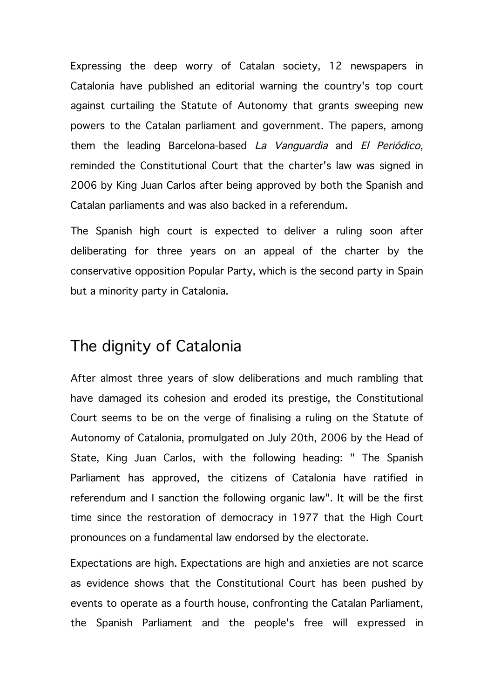Expressing the deep worry of Catalan society, 12 newspapers in Catalonia have published an editorial warning the country's top court against curtailing the Statute of Autonomy that grants sweeping new powers to the Catalan parliament and government. The papers, among them the leading Barcelona-based La Vanguardia and El Periódico, reminded the Constitutional Court that the charter's law was signed in 2006 by King Juan Carlos after being approved by both the Spanish and Catalan parliaments and was also backed in a referendum.

The Spanish high court is expected to deliver a ruling soon after deliberating for three years on an appeal of the charter by the conservative opposition Popular Party, which is the second party in Spain but a minority party in Catalonia.

## The dignity of Catalonia

After almost three years of slow deliberations and much rambling that have damaged its cohesion and eroded its prestige, the Constitutional Court seems to be on the verge of finalising a ruling on the Statute of Autonomy of Catalonia, promulgated on July 20th, 2006 by the Head of State, King Juan Carlos, with the following heading: " The Spanish Parliament has approved, the citizens of Catalonia have ratified in referendum and I sanction the following organic law". It will be the first time since the restoration of democracy in 1977 that the High Court pronounces on a fundamental law endorsed by the electorate.

Expectations are high. Expectations are high and anxieties are not scarce as evidence shows that the Constitutional Court has been pushed by events to operate as a fourth house, confronting the Catalan Parliament, the Spanish Parliament and the people's free will expressed in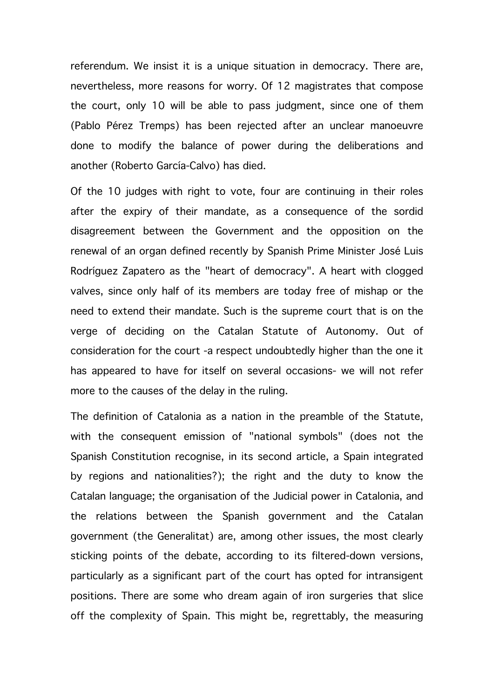referendum. We insist it is a unique situation in democracy. There are, nevertheless, more reasons for worry. Of 12 magistrates that compose the court, only 10 will be able to pass judgment, since one of them (Pablo Pérez Tremps) has been rejected after an unclear manoeuvre done to modify the balance of power during the deliberations and another (Roberto García-Calvo) has died.

Of the 10 judges with right to vote, four are continuing in their roles after the expiry of their mandate, as a consequence of the sordid disagreement between the Government and the opposition on the renewal of an organ defined recently by Spanish Prime Minister José Luis Rodríguez Zapatero as the "heart of democracy". A heart with clogged valves, since only half of its members are today free of mishap or the need to extend their mandate. Such is the supreme court that is on the verge of deciding on the Catalan Statute of Autonomy. Out of consideration for the court -a respect undoubtedly higher than the one it has appeared to have for itself on several occasions- we will not refer more to the causes of the delay in the ruling.

The definition of Catalonia as a nation in the preamble of the Statute, with the consequent emission of "national symbols" (does not the Spanish Constitution recognise, in its second article, a Spain integrated by regions and nationalities?); the right and the duty to know the Catalan language; the organisation of the Judicial power in Catalonia, and the relations between the Spanish government and the Catalan government (the Generalitat) are, among other issues, the most clearly sticking points of the debate, according to its filtered-down versions, particularly as a significant part of the court has opted for intransigent positions. There are some who dream again of iron surgeries that slice off the complexity of Spain. This might be, regrettably, the measuring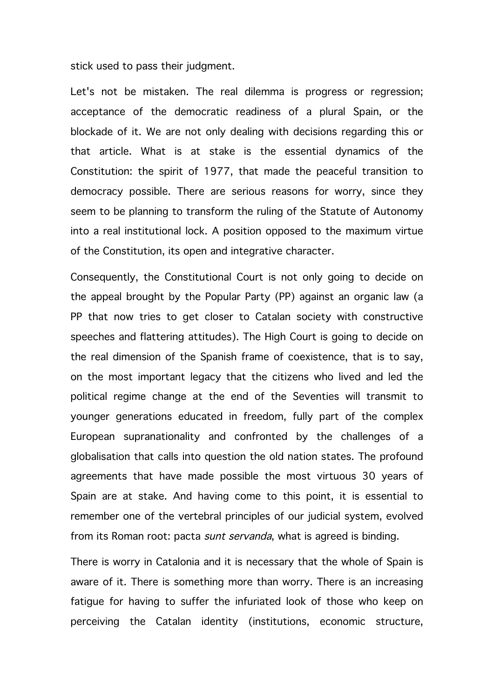stick used to pass their judgment.

Let's not be mistaken. The real dilemma is progress or regression; acceptance of the democratic readiness of a plural Spain, or the blockade of it. We are not only dealing with decisions regarding this or that article. What is at stake is the essential dynamics of the Constitution: the spirit of 1977, that made the peaceful transition to democracy possible. There are serious reasons for worry, since they seem to be planning to transform the ruling of the Statute of Autonomy into a real institutional lock. A position opposed to the maximum virtue of the Constitution, its open and integrative character.

Consequently, the Constitutional Court is not only going to decide on the appeal brought by the Popular Party (PP) against an organic law (a PP that now tries to get closer to Catalan society with constructive speeches and flattering attitudes). The High Court is going to decide on the real dimension of the Spanish frame of coexistence, that is to say, on the most important legacy that the citizens who lived and led the political regime change at the end of the Seventies will transmit to younger generations educated in freedom, fully part of the complex European supranationality and confronted by the challenges of a globalisation that calls into question the old nation states. The profound agreements that have made possible the most virtuous 30 years of Spain are at stake. And having come to this point, it is essential to remember one of the vertebral principles of our judicial system, evolved from its Roman root: pacta sunt servanda, what is agreed is binding.

There is worry in Catalonia and it is necessary that the whole of Spain is aware of it. There is something more than worry. There is an increasing fatigue for having to suffer the infuriated look of those who keep on perceiving the Catalan identity (institutions, economic structure,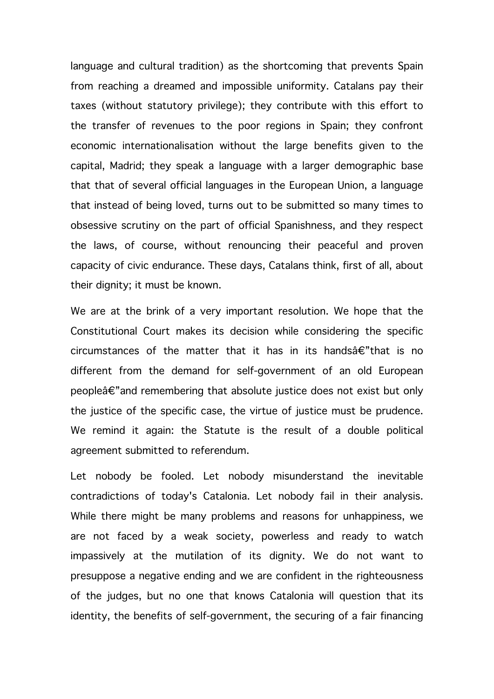language and cultural tradition) as the shortcoming that prevents Spain from reaching a dreamed and impossible uniformity. Catalans pay their taxes (without statutory privilege); they contribute with this effort to the transfer of revenues to the poor regions in Spain; they confront economic internationalisation without the large benefits given to the capital, Madrid; they speak a language with a larger demographic base that that of several official languages in the European Union, a language that instead of being loved, turns out to be submitted so many times to obsessive scrutiny on the part of official Spanishness, and they respect the laws, of course, without renouncing their peaceful and proven capacity of civic endurance. These days, Catalans think, first of all, about their dignity; it must be known.

We are at the brink of a very important resolution. We hope that the Constitutional Court makes its decision while considering the specific circumstances of the matter that it has in its handsâ€"that is no different from the demand for self-government of an old European peopleâ€"and remembering that absolute justice does not exist but only the justice of the specific case, the virtue of justice must be prudence. We remind it again: the Statute is the result of a double political agreement submitted to referendum.

Let nobody be fooled. Let nobody misunderstand the inevitable contradictions of today's Catalonia. Let nobody fail in their analysis. While there might be many problems and reasons for unhappiness, we are not faced by a weak society, powerless and ready to watch impassively at the mutilation of its dignity. We do not want to presuppose a negative ending and we are confident in the righteousness of the judges, but no one that knows Catalonia will question that its identity, the benefits of self-government, the securing of a fair financing